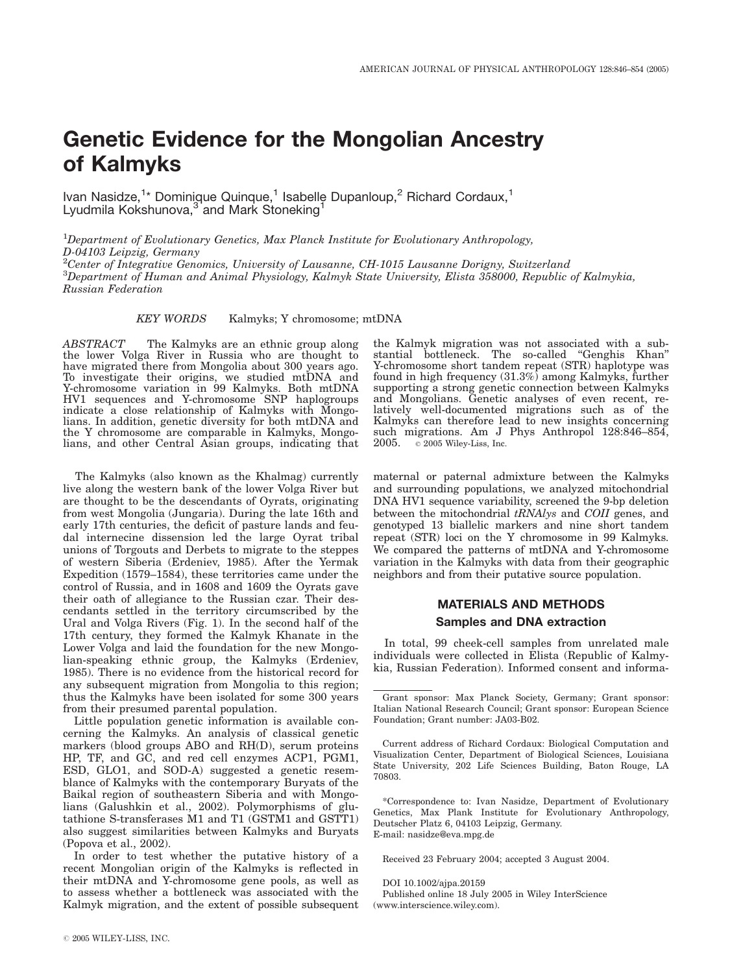# Genetic Evidence for the Mongolian Ancestry of Kalmyks

Ivan Nasidze,<sup>1</sup>\* Dominique Quinque,<sup>1</sup> Isabelle Dupanloup,<sup>2</sup> Richard Cordaux,<sup>1</sup> Lyudmila Kokshunova,<sup>3</sup> and Mark Stoneking<sup>1</sup>

<sup>1</sup>Department of Evolutionary Genetics, Max Planck Institute for Evolutionary Anthropology, D-04103 Leipzig, Germany

<sup>2</sup>Center of Integrative Genomics, University of Lausanne, CH-1015 Lausanne Dorigny, Switzerland  $^3$ Department of Human and Animal Physiology, Kalmyk State University, Elista 358000, Republic of Kalmykia, Russian Federation

KEY WORDS Kalmyks; Y chromosome; mtDNA

ABSTRACT The Kalmyks are an ethnic group along the lower Volga River in Russia who are thought to have migrated there from Mongolia about 300 years ago. To investigate their origins, we studied mtDNA and Y-chromosome variation in 99 Kalmyks. Both mtDNA HV1 sequences and Y-chromosome SNP haplogroups indicate a close relationship of Kalmyks with Mongolians. In addition, genetic diversity for both mtDNA and the Y chromosome are comparable in Kalmyks, Mongolians, and other Central Asian groups, indicating that

The Kalmyks (also known as the Khalmag) currently live along the western bank of the lower Volga River but are thought to be the descendants of Oyrats, originating from west Mongolia (Jungaria). During the late 16th and early 17th centuries, the deficit of pasture lands and feudal internecine dissension led the large Oyrat tribal unions of Torgouts and Derbets to migrate to the steppes of western Siberia (Erdeniev, 1985). After the Yermak Expedition (1579–1584), these territories came under the control of Russia, and in 1608 and 1609 the Oyrats gave their oath of allegiance to the Russian czar. Their descendants settled in the territory circumscribed by the Ural and Volga Rivers (Fig. 1). In the second half of the 17th century, they formed the Kalmyk Khanate in the Lower Volga and laid the foundation for the new Mongolian-speaking ethnic group, the Kalmyks (Erdeniev, 1985). There is no evidence from the historical record for any subsequent migration from Mongolia to this region; thus the Kalmyks have been isolated for some 300 years from their presumed parental population.

Little population genetic information is available concerning the Kalmyks. An analysis of classical genetic markers (blood groups ABO and RH(D), serum proteins HP, TF, and GC, and red cell enzymes ACP1, PGM1, ESD, GLO1, and SOD-A) suggested a genetic resemblance of Kalmyks with the contemporary Buryats of the Baikal region of southeastern Siberia and with Mongolians (Galushkin et al., 2002). Polymorphisms of glutathione S-transferases M1 and T1 (GSTM1 and GSTT1) also suggest similarities between Kalmyks and Buryats (Popova et al., 2002).

In order to test whether the putative history of a recent Mongolian origin of the Kalmyks is reflected in their mtDNA and Y-chromosome gene pools, as well as to assess whether a bottleneck was associated with the Kalmyk migration, and the extent of possible subsequent the Kalmyk migration was not associated with a substantial bottleneck. The so-called ''Genghis Khan'' Y-chromosome short tandem repeat (STR) haplotype was found in high frequency (31.3%) among Kalmyks, further supporting a strong genetic connection between Kalmyks and Mongolians. Genetic analyses of even recent, relatively well-documented migrations such as of the Kalmyks can therefore lead to new insights concerning such migrations. Am J Phys Anthropol 128:846–854, 2005.  $\degree$  2005 Wiley-Liss, Inc.  $\circ$  2005 Wiley-Liss, Inc.

maternal or paternal admixture between the Kalmyks and surrounding populations, we analyzed mitochondrial DNA HV1 sequence variability, screened the 9-bp deletion between the mitochondrial tRNAlys and COII genes, and genotyped 13 biallelic markers and nine short tandem repeat (STR) loci on the Y chromosome in 99 Kalmyks. We compared the patterns of mtDNA and Y-chromosome variation in the Kalmyks with data from their geographic neighbors and from their putative source population.

# MATERIALS AND METHODS Samples and DNA extraction

In total, 99 cheek-cell samples from unrelated male individuals were collected in Elista (Republic of Kalmykia, Russian Federation). Informed consent and informa-

\*Correspondence to: Ivan Nasidze, Department of Evolutionary Genetics, Max Plank Institute for Evolutionary Anthropology, Deutscher Platz 6, 04103 Leipzig, Germany. E-mail: nasidze@eva.mpg.de

Received 23 February 2004; accepted 3 August 2004.

DOI 10.1002/ajpa.20159

Published online 18 July 2005 in Wiley InterScience (www.interscience.wiley.com).

Grant sponsor: Max Planck Society, Germany; Grant sponsor: Italian National Research Council; Grant sponsor: European Science Foundation; Grant number: JA03-B02.

Current address of Richard Cordaux: Biological Computation and Visualization Center, Department of Biological Sciences, Louisiana State University, 202 Life Sciences Building, Baton Rouge, LA 70803.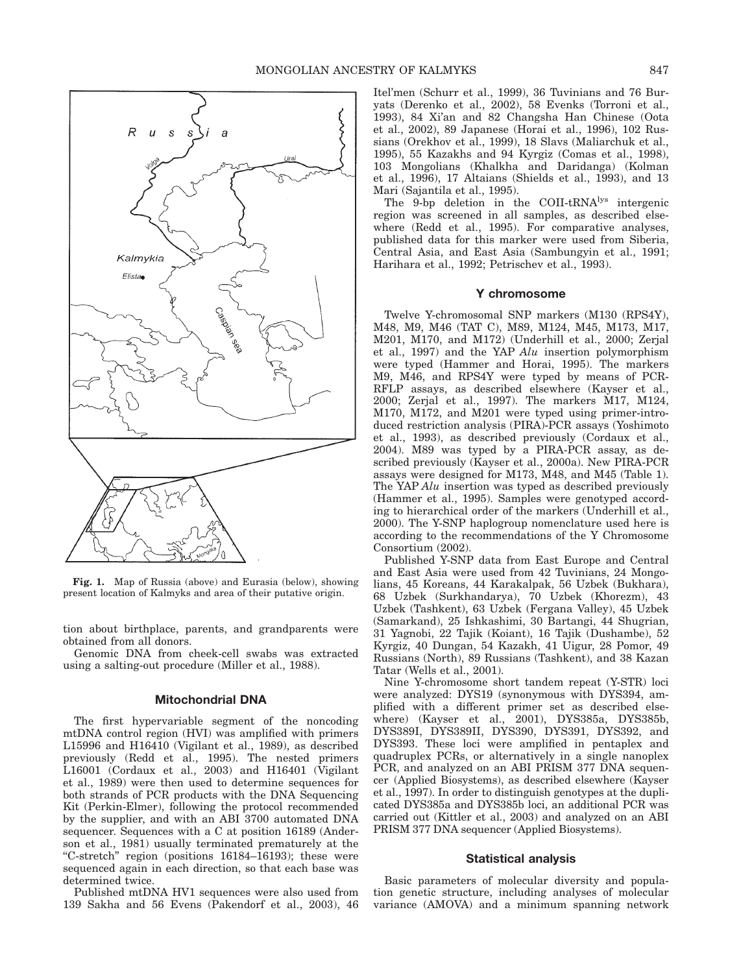

Fig. 1. Map of Russia (above) and Eurasia (below), showing present location of Kalmyks and area of their putative origin.

tion about birthplace, parents, and grandparents were obtained from all donors.

Genomic DNA from cheek-cell swabs was extracted using a salting-out procedure (Miller et al., 1988).

#### Mitochondrial DNA

The first hypervariable segment of the noncoding mtDNA control region (HVI) was amplified with primers L15996 and H16410 (Vigilant et al., 1989), as described previously (Redd et al., 1995). The nested primers L16001 (Cordaux et al., 2003) and H16401 (Vigilant et al., 1989) were then used to determine sequences for both strands of PCR products with the DNA Sequencing Kit (Perkin-Elmer), following the protocol recommended by the supplier, and with an ABI 3700 automated DNA sequencer. Sequences with a C at position 16189 (Anderson et al., 1981) usually terminated prematurely at the ''C-stretch'' region (positions 16184–16193); these were sequenced again in each direction, so that each base was determined twice.

Published mtDNA HV1 sequences were also used from 139 Sakha and 56 Evens (Pakendorf et al., 2003), 46 Itel'men (Schurr et al., 1999), 36 Tuvinians and 76 Buryats (Derenko et al., 2002), 58 Evenks (Torroni et al., 1993), 84 Xi'an and 82 Changsha Han Chinese (Oota et al., 2002), 89 Japanese (Horai et al., 1996), 102 Russians (Orekhov et al., 1999), 18 Slavs (Maliarchuk et al., 1995), 55 Kazakhs and 94 Kyrgiz (Comas et al., 1998), 103 Mongolians (Khalkha and Daridanga) (Kolman et al., 1996), 17 Altaians (Shields et al., 1993), and 13 Mari (Sajantila et al., 1995).

The 9-bp deletion in the COII-tRNA<sup>lys</sup> intergenic region was screened in all samples, as described elsewhere (Redd et al., 1995). For comparative analyses, published data for this marker were used from Siberia, Central Asia, and East Asia (Sambungyin et al., 1991; Harihara et al., 1992; Petrischev et al., 1993).

# Y chromosome

Twelve Y-chromosomal SNP markers (M130 (RPS4Y), M48, M9, M46 (TAT C), M89, M124, M45, M173, M17, M201, M170, and M172) (Underhill et al., 2000; Zerjal et al., 1997) and the YAP Alu insertion polymorphism were typed (Hammer and Horai, 1995). The markers M9, M46, and RPS4Y were typed by means of PCR-RFLP assays, as described elsewhere (Kayser et al., 2000; Zerjal et al., 1997). The markers M17, M124, M170, M172, and M201 were typed using primer-introduced restriction analysis (PIRA)-PCR assays (Yoshimoto et al., 1993), as described previously (Cordaux et al., 2004). M89 was typed by a PIRA-PCR assay, as described previously (Kayser et al., 2000a). New PIRA-PCR assays were designed for M173, M48, and M45 (Table 1). The YAP Alu insertion was typed as described previously (Hammer et al., 1995). Samples were genotyped according to hierarchical order of the markers (Underhill et al., 2000). The Y-SNP haplogroup nomenclature used here is according to the recommendations of the Y Chromosome Consortium (2002).

Published Y-SNP data from East Europe and Central and East Asia were used from 42 Tuvinians, 24 Mongolians, 45 Koreans, 44 Karakalpak, 56 Uzbek (Bukhara), 68 Uzbek (Surkhandarya), 70 Uzbek (Khorezm), 43 Uzbek (Tashkent), 63 Uzbek (Fergana Valley), 45 Uzbek (Samarkand), 25 Ishkashimi, 30 Bartangi, 44 Shugrian, 31 Yagnobi, 22 Tajik (Koiant), 16 Tajik (Dushambe), 52 Kyrgiz, 40 Dungan, 54 Kazakh, 41 Uigur, 28 Pomor, 49 Russians (North), 89 Russians (Tashkent), and 38 Kazan Tatar (Wells et al., 2001).

Nine Y-chromosome short tandem repeat (Y-STR) loci were analyzed: DYS19 (synonymous with DYS394, amplified with a different primer set as described elsewhere) (Kayser et al., 2001), DYS385a, DYS385b, DYS389I, DYS389II, DYS390, DYS391, DYS392, and DYS393. These loci were amplified in pentaplex and quadruplex PCRs, or alternatively in a single nanoplex PCR, and analyzed on an ABI PRISM 377 DNA sequencer (Applied Biosystems), as described elsewhere (Kayser et al., 1997). In order to distinguish genotypes at the duplicated DYS385a and DYS385b loci, an additional PCR was carried out (Kittler et al., 2003) and analyzed on an ABI PRISM 377 DNA sequencer (Applied Biosystems).

# Statistical analysis

Basic parameters of molecular diversity and population genetic structure, including analyses of molecular variance (AMOVA) and a minimum spanning network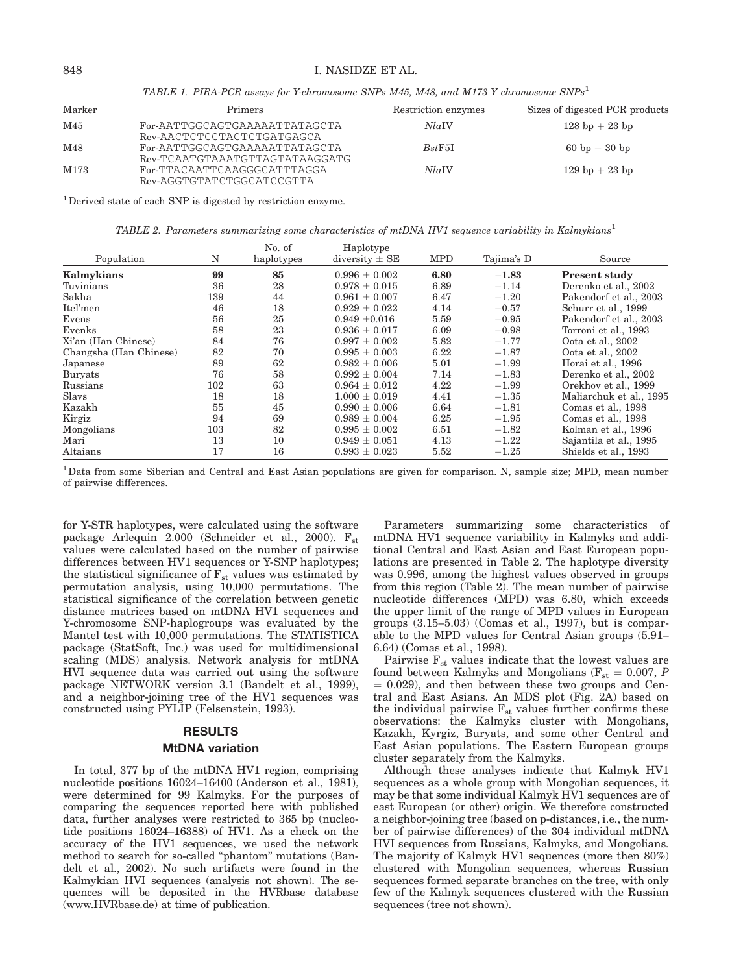#### 848 I. NASIDZE ET AL.

TABLE 1. PIRA-PCR assays for Y-chromosome SNPs M45, M48, and M173 Y chromosome  $SNPs^1$ 

| Marker | <b>Primers</b>                                                  | Restriction enzymes | Sizes of digested PCR products   |
|--------|-----------------------------------------------------------------|---------------------|----------------------------------|
| M45    | For-AATTGGCAGTGAAAAATTATAGCTA<br>Rev-AACTCTCCTACTCTGATGAGCA     | Nla                 | $128 \text{ bp} + 23 \text{ bp}$ |
| M48    | For-AATTGGCAGTGAAAAATTATAGCTA<br>Rev-TCAATGTAAATGTTAGTATAAGGATG | BstF5I              | $60 \text{ bp} + 30 \text{ bp}$  |
| M173   | For-TTACAATTCAAGGGCATTTAGGA<br>Rev-AGGTGTATCTGGCATCCGTTA        | Nla                 | $129$ bp $+23$ bp                |

 $1$  Derived state of each SNP is digested by restriction enzyme.

TABLE 2. Parameters summarizing some characteristics of mtDNA HV1 sequence variability in Kalmykians<sup>1</sup>

|                        |     | No. of     | Haplotype          |            |            |                         |
|------------------------|-----|------------|--------------------|------------|------------|-------------------------|
| Population             | N   | haplotypes | diversity $\pm$ SE | <b>MPD</b> | Tajima's D | Source                  |
| Kalmykians             | 99  | 85         | $0.996 \pm 0.002$  | 6.80       | $-1.83$    | <b>Present study</b>    |
| Tuvinians              | 36  | 28         | $0.978 \pm 0.015$  | 6.89       | $-1.14$    | Derenko et al., 2002    |
| Sakha                  | 139 | 44         | $0.961 \pm 0.007$  | 6.47       | $-1.20$    | Pakendorf et al., 2003  |
| Itel'men               | 46  | 18         | $0.929 \pm 0.022$  | 4.14       | $-0.57$    | Schurr et al., 1999     |
| Evens                  | 56  | 25         | $0.949 \pm 0.016$  | 5.59       | $-0.95$    | Pakendorf et al., 2003  |
| Evenks                 | 58  | 23         | $0.936 + 0.017$    | 6.09       | $-0.98$    | Torroni et al., 1993    |
| Xi'an (Han Chinese)    | 84  | 76         | $0.997 \pm 0.002$  | 5.82       | $-1.77$    | Oota et al., 2002       |
| Changsha (Han Chinese) | 82  | 70         | $0.995 \pm 0.003$  | 6.22       | $-1.87$    | Oota et al., 2002       |
| Japanese               | 89  | 62         | $0.982 \pm 0.006$  | 5.01       | $-1.99$    | Horai et al., 1996      |
| Buryats                | 76  | 58         | $0.992 + 0.004$    | 7.14       | $^{-1.83}$ | Derenko et al., 2002    |
| Russians               | 102 | 63         | $0.964 \pm 0.012$  | 4.22       | $-1.99$    | Orekhov et al., 1999    |
| Slavs                  | 18  | 18         | $1.000 \pm 0.019$  | 4.41       | $-1.35$    | Maliarchuk et al., 1995 |
| Kazakh                 | 55  | 45         | $0.990 \pm 0.006$  | 6.64       | $-1.81$    | Comas et al., 1998      |
| Kirgiz                 | 94  | 69         | $0.989 \pm 0.004$  | 6.25       | $-1.95$    | Comas et al., 1998      |
| Mongolians             | 103 | 82         | $0.995 \pm 0.002$  | 6.51       | $-1.82$    | Kolman et al., 1996     |
| Mari                   | 13  | 10         | $0.949 \pm 0.051$  | 4.13       | $-1.22$    | Sajantila et al., 1995  |
| Altaians               | 17  | 16         | $0.993 \pm 0.023$  | 5.52       | $-1.25$    | Shields et al., 1993    |

<sup>1</sup>Data from some Siberian and Central and East Asian populations are given for comparison. N, sample size; MPD, mean number of pairwise differences.

for Y-STR haplotypes, were calculated using the software package Arlequin 2.000 (Schneider et al., 2000).  $F_{st}$ values were calculated based on the number of pairwise differences between HV1 sequences or Y-SNP haplotypes; the statistical significance of  $F_{st}$  values was estimated by permutation analysis, using 10,000 permutations. The statistical significance of the correlation between genetic distance matrices based on mtDNA HV1 sequences and Y-chromosome SNP-haplogroups was evaluated by the Mantel test with 10,000 permutations. The STATISTICA package (StatSoft, Inc.) was used for multidimensional scaling (MDS) analysis. Network analysis for mtDNA HVI sequence data was carried out using the software package NETWORK version 3.1 (Bandelt et al., 1999), and a neighbor-joining tree of the HV1 sequences was constructed using PYLIP (Felsenstein, 1993).

#### RESULTS

#### MtDNA variation

In total, 377 bp of the mtDNA HV1 region, comprising nucleotide positions 16024–16400 (Anderson et al., 1981), were determined for 99 Kalmyks. For the purposes of comparing the sequences reported here with published data, further analyses were restricted to 365 bp (nucleotide positions 16024–16388) of HV1. As a check on the accuracy of the HV1 sequences, we used the network method to search for so-called ''phantom'' mutations (Bandelt et al., 2002). No such artifacts were found in the Kalmykian HVI sequences (analysis not shown). The sequences will be deposited in the HVRbase database (www.HVRbase.de) at time of publication.

Parameters summarizing some characteristics of mtDNA HV1 sequence variability in Kalmyks and additional Central and East Asian and East European populations are presented in Table 2. The haplotype diversity was 0.996, among the highest values observed in groups from this region (Table 2). The mean number of pairwise nucleotide differences (MPD) was 6.80, which exceeds the upper limit of the range of MPD values in European groups (3.15–5.03) (Comas et al., 1997), but is comparable to the MPD values for Central Asian groups (5.91– 6.64) (Comas et al., 1998).

Pairwise  $F_{st}$  values indicate that the lowest values are found between Kalmyks and Mongolians ( $F_{st} = 0.007$ , P  $= 0.029$ , and then between these two groups and Central and East Asians. An MDS plot (Fig. 2A) based on the individual pairwise  $F_{st}$  values further confirms these observations: the Kalmyks cluster with Mongolians, Kazakh, Kyrgiz, Buryats, and some other Central and East Asian populations. The Eastern European groups cluster separately from the Kalmyks.

Although these analyses indicate that Kalmyk HV1 sequences as a whole group with Mongolian sequences, it may be that some individual Kalmyk HV1 sequences are of east European (or other) origin. We therefore constructed a neighbor-joining tree (based on p-distances, i.e., the number of pairwise differences) of the 304 individual mtDNA HVI sequences from Russians, Kalmyks, and Mongolians. The majority of Kalmyk HV1 sequences (more then 80%) clustered with Mongolian sequences, whereas Russian sequences formed separate branches on the tree, with only few of the Kalmyk sequences clustered with the Russian sequences (tree not shown).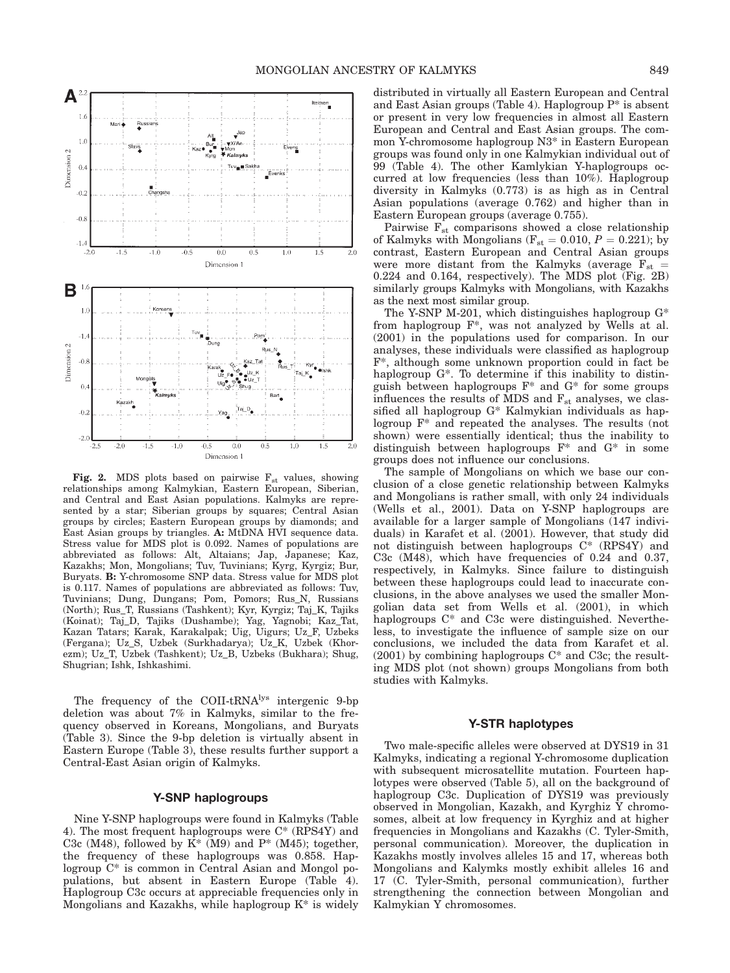

Fig. 2. MDS plots based on pairwise  $F_{st}$  values, showing relationships among Kalmykian, Eastern European, Siberian, and Central and East Asian populations. Kalmyks are represented by a star; Siberian groups by squares; Central Asian groups by circles; Eastern European groups by diamonds; and East Asian groups by triangles. A: MtDNA HVI sequence data. Stress value for MDS plot is 0.092. Names of populations are abbreviated as follows: Alt, Altaians; Jap, Japanese; Kaz, Kazakhs; Mon, Mongolians; Tuv, Tuvinians; Kyrg, Kyrgiz; Bur, Buryats. B: Y-chromosome SNP data. Stress value for MDS plot is 0.117. Names of populations are abbreviated as follows: Tuv, Tuvinians; Dung, Dungans; Pom, Pomors; Rus\_N, Russians (North); Rus\_T, Russians (Tashkent); Kyr, Kyrgiz; Taj\_K, Tajiks (Koinat); Taj\_D, Tajiks (Dushambe); Yag, Yagnobi; Kaz\_Tat, Kazan Tatars; Karak, Karakalpak; Uig, Uigurs; Uz\_F, Uzbeks (Fergana); Uz\_S, Uzbek (Surkhadarya); Uz\_K, Uzbek (Khorezm); Uz\_T, Uzbek (Tashkent); Uz\_B, Uzbeks (Bukhara); Shug, Shugrian; Ishk, Ishkashimi.

The frequency of the COII-tRNA<sup>lys</sup> intergenic 9-bp deletion was about 7% in Kalmyks, similar to the frequency observed in Koreans, Mongolians, and Buryats (Table 3). Since the 9-bp deletion is virtually absent in Eastern Europe (Table 3), these results further support a Central-East Asian origin of Kalmyks.

# Y-SNP haplogroups

Nine Y-SNP haplogroups were found in Kalmyks (Table 4). The most frequent haplogroups were C\* (RPS4Y) and C3c (M48), followed by  $K^*$  (M9) and P<sup>\*</sup> (M45); together, the frequency of these haplogroups was 0.858. Haplogroup C\* is common in Central Asian and Mongol populations, but absent in Eastern Europe (Table 4). Haplogroup C3c occurs at appreciable frequencies only in Mongolians and Kazakhs, while haplogroup K\* is widely distributed in virtually all Eastern European and Central and East Asian groups (Table 4). Haplogroup  $P^*$  is absent or present in very low frequencies in almost all Eastern European and Central and East Asian groups. The common Y-chromosome haplogroup N3\* in Eastern European groups was found only in one Kalmykian individual out of 99 (Table 4). The other Kamlykian Y-haplogroups occurred at low frequencies (less than 10%). Haplogroup diversity in Kalmyks (0.773) is as high as in Central Asian populations (average 0.762) and higher than in Eastern European groups (average 0.755).

Pairwise  $F_{st}$  comparisons showed a close relationship of Kalmyks with Mongolians ( $F_{st} = 0.010$ ,  $P = 0.221$ ); by contrast, Eastern European and Central Asian groups were more distant from the Kalmyks (average  $F_{st}$  = 0.224 and 0.164, respectively). The MDS plot (Fig. 2B) similarly groups Kalmyks with Mongolians, with Kazakhs as the next most similar group.

The Y-SNP M-201, which distinguishes haplogroup G\* from haplogroup F\*, was not analyzed by Wells at al. (2001) in the populations used for comparison. In our analyses, these individuals were classified as haplogroup F\*, although some unknown proportion could in fact be haplogroup  $G^*$ . To determine if this inability to distinguish between haplogroups F\* and G\* for some groups influences the results of MDS and  $F_{st}$  analyses, we classified all haplogroup G\* Kalmykian individuals as haplogroup F\* and repeated the analyses. The results (not shown) were essentially identical; thus the inability to distinguish between haplogroups F\* and G\* in some groups does not influence our conclusions.

The sample of Mongolians on which we base our conclusion of a close genetic relationship between Kalmyks and Mongolians is rather small, with only 24 individuals (Wells et al., 2001). Data on Y-SNP haplogroups are available for a larger sample of Mongolians (147 individuals) in Karafet et al. (2001). However, that study did not distinguish between haplogroups C\* (RPS4Y) and C3c (M48), which have frequencies of 0.24 and 0.37, respectively, in Kalmyks. Since failure to distinguish between these haplogroups could lead to inaccurate conclusions, in the above analyses we used the smaller Mongolian data set from Wells et al. (2001), in which haplogroups C\* and C3c were distinguished. Nevertheless, to investigate the influence of sample size on our conclusions, we included the data from Karafet et al. (2001) by combining haplogroups C\* and C3c; the resulting MDS plot (not shown) groups Mongolians from both studies with Kalmyks.

#### Y-STR haplotypes

Two male-specific alleles were observed at DYS19 in 31 Kalmyks, indicating a regional Y-chromosome duplication with subsequent microsatellite mutation. Fourteen haplotypes were observed (Table 5), all on the background of haplogroup C3c. Duplication of DYS19 was previously observed in Mongolian, Kazakh, and Kyrghiz Y chromosomes, albeit at low frequency in Kyrghiz and at higher frequencies in Mongolians and Kazakhs (C. Tyler-Smith, personal communication). Moreover, the duplication in Kazakhs mostly involves alleles 15 and 17, whereas both Mongolians and Kalymks mostly exhibit alleles 16 and 17 (C. Tyler-Smith, personal communication), further strengthening the connection between Mongolian and Kalmykian Y chromosomes.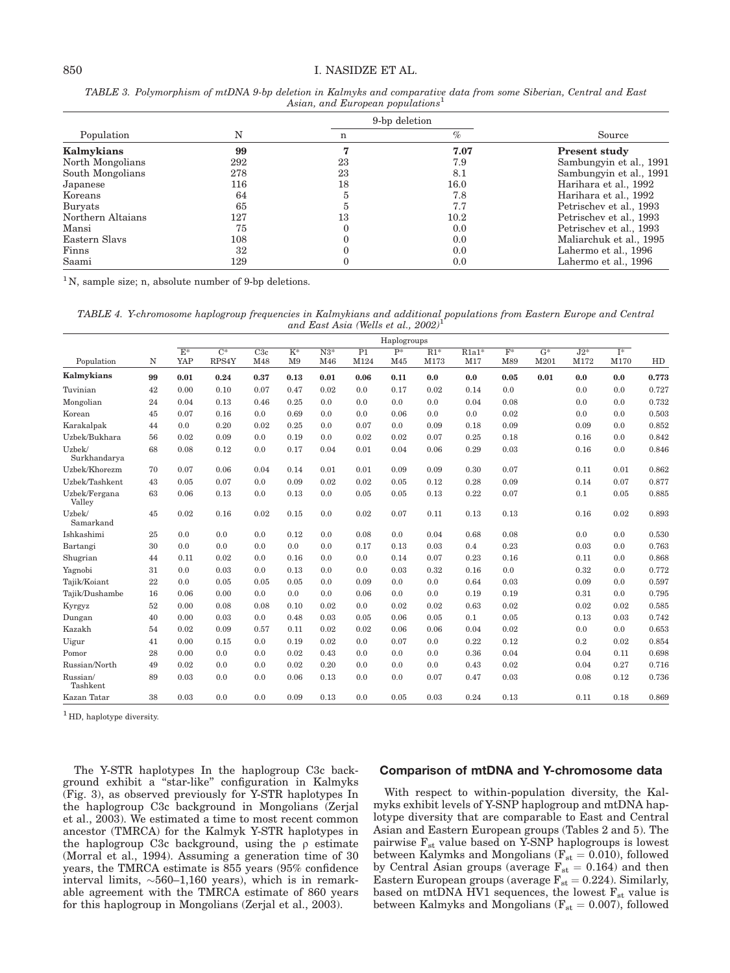# 850 I. NASIDZE ET AL.

|      | Source                  |  |
|------|-------------------------|--|
| $\%$ |                         |  |
| 7.07 | <b>Present study</b>    |  |
| 7.9  | Sambungyin et al., 1991 |  |
| 8.1  | Sambungyin et al., 1991 |  |
| 16.0 | Harihara et al., 1992   |  |
| 7.8  | Harihara et al., 1992   |  |
| 7.7  | Petrischev et al., 1993 |  |
| 10.2 | Petrischev et al., 1993 |  |
| 0.0  | Petrischev et al., 1993 |  |
| 0.0  | Maliarchuk et al., 1995 |  |
| 0.0  | Lahermo et al., 1996    |  |
| 0.0  | Lahermo et al., 1996    |  |
|      | 9-bp deletion           |  |

TABLE 3. Polymorphism of mtDNA 9-bp deletion in Kalmyks and comparative data from some Siberian, Central and East Asian, and European populations<sup>1</sup>

<sup>1</sup>N, sample size; n, absolute number of 9-bp deletions.

TABLE 4. Y-chromosome haplogroup frequencies in Kalmykians and additional populations from Eastern Europe and Central and East Asia (Wells et al., 2002)<sup>1</sup>

|                         |    | Haplogroups             |                           |            |                         |              |            |                         |               |                |                         |                          |               |                          |       |
|-------------------------|----|-------------------------|---------------------------|------------|-------------------------|--------------|------------|-------------------------|---------------|----------------|-------------------------|--------------------------|---------------|--------------------------|-------|
| Population              | N  | $\overline{E^*}$<br>YAP | $\overline{C^*}$<br>RPS4Y | C3c<br>M48 | $K^*$<br>M <sub>9</sub> | $N3*$<br>M46 | P1<br>M124 | $\overline{P^*}$<br>M45 | $R1*$<br>M173 | $R1a1*$<br>M17 | $\overline{F^*}$<br>M89 | $\overline{G^*}$<br>M201 | $J2*$<br>M172 | $\overline{1^*}$<br>M170 | HD    |
| Kalmykians              | 99 | 0.01                    | 0.24                      | 0.37       | 0.13                    | 0.01         | 0.06       | 0.11                    | 0.0           | 0.0            | 0.05                    | 0.01                     | 0.0           | 0.0                      | 0.773 |
| Tuvinian                | 42 | 0.00                    | 0.10                      | 0.07       | 0.47                    | 0.02         | 0.0        | 0.17                    | 0.02          | 0.14           | 0.0                     |                          | 0.0           | 0.0                      | 0.727 |
| Mongolian               | 24 | 0.04                    | 0.13                      | 0.46       | 0.25                    | 0.0          | 0.0        | 0.0                     | 0.0           | 0.04           | 0.08                    |                          | 0.0           | 0.0                      | 0.732 |
| Korean                  | 45 | 0.07                    | 0.16                      | 0.0        | 0.69                    | 0.0          | 0.0        | 0.06                    | 0.0           | 0.0            | 0.02                    |                          | 0.0           | 0.0                      | 0.503 |
| Karakalpak              | 44 | 0.0                     | 0.20                      | 0.02       | 0.25                    | 0.0          | 0.07       | 0.0                     | 0.09          | 0.18           | 0.09                    |                          | 0.09          | 0.0                      | 0.852 |
| Uzbek/Bukhara           | 56 | 0.02                    | 0.09                      | 0.0        | 0.19                    | 0.0          | 0.02       | 0.02                    | 0.07          | 0.25           | 0.18                    |                          | 0.16          | 0.0                      | 0.842 |
| Uzbek/<br>Surkhandarya  | 68 | 0.08                    | 0.12                      | 0.0        | 0.17                    | 0.04         | 0.01       | 0.04                    | 0.06          | 0.29           | 0.03                    |                          | 0.16          | 0.0                      | 0.846 |
| Uzbek/Khorezm           | 70 | 0.07                    | 0.06                      | 0.04       | 0.14                    | 0.01         | 0.01       | 0.09                    | 0.09          | 0.30           | 0.07                    |                          | 0.11          | 0.01                     | 0.862 |
| Uzbek/Tashkent          | 43 | 0.05                    | 0.07                      | 0.0        | 0.09                    | 0.02         | 0.02       | 0.05                    | 0.12          | 0.28           | 0.09                    |                          | 0.14          | 0.07                     | 0.877 |
| Uzbek/Fergana<br>Valley | 63 | 0.06                    | 0.13                      | 0.0        | 0.13                    | 0.0          | 0.05       | 0.05                    | 0.13          | 0.22           | 0.07                    |                          | 0.1           | 0.05                     | 0.885 |
| Uzbek/<br>Samarkand     | 45 | 0.02                    | 0.16                      | 0.02       | 0.15                    | 0.0          | 0.02       | 0.07                    | 0.11          | 0.13           | 0.13                    |                          | 0.16          | 0.02                     | 0.893 |
| Ishkashimi              | 25 | 0.0                     | 0.0                       | 0.0        | 0.12                    | 0.0          | 0.08       | 0.0                     | 0.04          | 0.68           | 0.08                    |                          | 0.0           | 0.0                      | 0.530 |
| Bartangi                | 30 | 0.0                     | 0.0                       | 0.0        | 0.0                     | 0.0          | 0.17       | 0.13                    | 0.03          | 0.4            | 0.23                    |                          | 0.03          | 0.0                      | 0.763 |
| Shugrian                | 44 | 0.11                    | 0.02                      | 0.0        | 0.16                    | 0.0          | 0.0        | 0.14                    | 0.07          | 0.23           | 0.16                    |                          | 0.11          | 0.0                      | 0.868 |
| Yagnobi                 | 31 | 0.0                     | 0.03                      | 0.0        | 0.13                    | 0.0          | 0.0        | 0.03                    | 0.32          | 0.16           | 0.0                     |                          | 0.32          | 0.0                      | 0.772 |
| Tajik/Koiant            | 22 | 0.0                     | 0.05                      | 0.05       | 0.05                    | 0.0          | 0.09       | 0.0                     | 0.0           | 0.64           | 0.03                    |                          | 0.09          | 0.0                      | 0.597 |
| Tajik/Dushambe          | 16 | 0.06                    | 0.00                      | 0.0        | 0.0                     | 0.0          | 0.06       | 0.0                     | 0.0           | 0.19           | 0.19                    |                          | 0.31          | 0.0                      | 0.795 |
| Kyrgyz                  | 52 | 0.00                    | 0.08                      | 0.08       | 0.10                    | 0.02         | 0.0        | 0.02                    | 0.02          | 0.63           | 0.02                    |                          | 0.02          | 0.02                     | 0.585 |
| Dungan                  | 40 | 0.00                    | 0.03                      | 0.0        | 0.48                    | 0.03         | 0.05       | 0.06                    | 0.05          | 0.1            | 0.05                    |                          | 0.13          | 0.03                     | 0.742 |
| Kazakh                  | 54 | 0.02                    | 0.09                      | 0.57       | 0.11                    | 0.02         | 0.02       | 0.06                    | 0.06          | 0.04           | 0.02                    |                          | 0.0           | 0.0                      | 0.653 |
| Uigur                   | 41 | 0.00                    | 0.15                      | 0.0        | 0.19                    | 0.02         | 0.0        | 0.07                    | 0.0           | 0.22           | 0.12                    |                          | 0.2           | 0.02                     | 0.854 |
| Pomor                   | 28 | 0.00                    | 0.0                       | 0.0        | 0.02                    | 0.43         | 0.0        | 0.0                     | 0.0           | 0.36           | 0.04                    |                          | 0.04          | 0.11                     | 0.698 |
| Russian/North           | 49 | 0.02                    | 0.0                       | 0.0        | 0.02                    | 0.20         | 0.0        | 0.0                     | 0.0           | 0.43           | 0.02                    |                          | 0.04          | 0.27                     | 0.716 |
| Russian/<br>Tashkent    | 89 | 0.03                    | 0.0                       | 0.0        | 0.06                    | 0.13         | 0.0        | 0.0                     | 0.07          | 0.47           | 0.03                    |                          | 0.08          | 0.12                     | 0.736 |
| Kazan Tatar             | 38 | 0.03                    | 0.0                       | 0.0        | 0.09                    | 0.13         | 0.0        | 0.05                    | 0.03          | 0.24           | 0.13                    |                          | 0.11          | 0.18                     | 0.869 |

 $<sup>1</sup>$  HD, haplotype diversity.</sup>

The Y-STR haplotypes In the haplogroup C3c background exhibit a ''star-like'' configuration in Kalmyks (Fig. 3), as observed previously for Y-STR haplotypes In the haplogroup C3c background in Mongolians (Zerjal et al., 2003). We estimated a time to most recent common ancestor (TMRCA) for the Kalmyk Y-STR haplotypes in the haplogroup C3c background, using the  $\rho$  estimate (Morral et al., 1994). Assuming a generation time of 30 years, the TMRCA estimate is 855 years (95% confidence interval limits,  $\sim 560-1,160$  years), which is in remarkable agreement with the TMRCA estimate of 860 years for this haplogroup in Mongolians (Zerjal et al., 2003).

# Comparison of mtDNA and Y-chromosome data

With respect to within-population diversity, the Kalmyks exhibit levels of Y-SNP haplogroup and mtDNA haplotype diversity that are comparable to East and Central Asian and Eastern European groups (Tables 2 and 5). The pairwise  $F_{st}$  value based on Y-SNP haplogroups is lowest between Kalymks and Mongolians ( $F_{st} = 0.010$ ), followed by Central Asian groups (average  $F_{st} = 0.164$ ) and then Eastern European groups (average  $F_{st} = 0.224$ ). Similarly, based on mtDNA HV1 sequences, the lowest  $F_{st}$  value is between Kalmyks and Mongolians ( $F_{st} = 0.007$ ), followed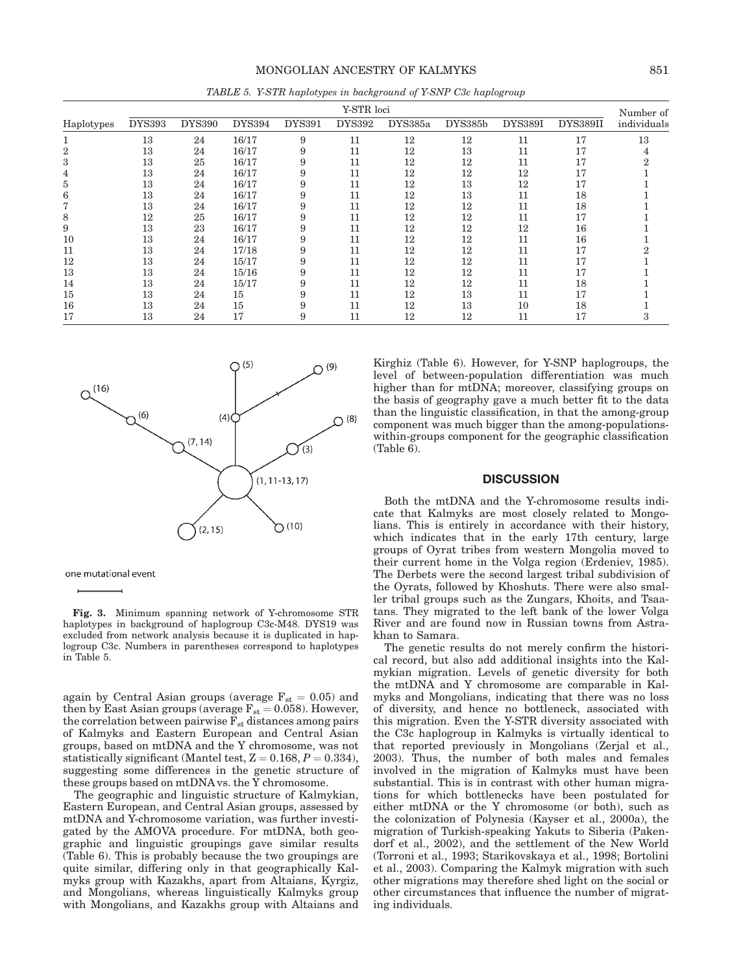|              | Y-STR loci    |               |               |               |               |         |         |                |                |                          |  |
|--------------|---------------|---------------|---------------|---------------|---------------|---------|---------|----------------|----------------|--------------------------|--|
| Haplotypes   | <b>DYS393</b> | <b>DYS390</b> | <b>DYS394</b> | <b>DYS391</b> | <b>DYS392</b> | DYS385a | DYS385b | <b>DYS389I</b> | DYS389II       | Number of<br>individuals |  |
|              | 13            | 24            | 16/17         | 9             | 11            | 12      | 12      | 11             | 17             | 13                       |  |
|              | 13            | 24            | 16/17         | 9             | 11            | 12      | 13      | 11             | 1 <sub>7</sub> |                          |  |
| 3            | 13            | 25            | 16/17         | 9             | 11            | 12      | 12      | 11             | 17             |                          |  |
|              | 13            | 24            | 16/17         | 9             | 11            | 12      | 12      | 12             | 17             |                          |  |
| <sub>3</sub> | 13            | 24            | 16/17         | 9             | 11            | 12      | 13      | 12             | 17             |                          |  |
| h            | 13            | 24            | 16/17         | 9             | 11            | 12      | 13      | 11             | 18             |                          |  |
|              | 13            | 24            | 16/17         | 9             | 11            | 12      | 12      | 11             | 18             |                          |  |
| 8            | 12            | 25            | 16/17         | 9             | 11            | 12      | 12      | 11             | 17             |                          |  |
| 9            | 13            | 23            | 16/17         | 9             | 11            | 12      | 12      | 12             | 16             |                          |  |
| 10           | 13            | 24            | 16/17         | 9             | 11            | 12      | 12      | 11             | 16             |                          |  |
| 11           | 13            | 24            | 17/18         | 9             | 11            | 12      | 12      | 11             | 17             |                          |  |
| 12           | 13            | 24            | 15/17         | 9             | 11            | 12      | 12      | 11             | 17             |                          |  |
| 13           | 13            | 24            | 15/16         | 9             | 11            | 12      | 12      | 11             | 17             |                          |  |
| 14           | 13            | 24            | 15/17         | 9             | 11            | 12      | 12      | 11             | 18             |                          |  |
| 15           | 13            | 24            | 15            | 9             | 11            | 12      | 13      | 11             | 17             |                          |  |
| 16           | 13            | 24            | 15            | 9             | 11            | 12      | 13      | 10             | 18             |                          |  |
| 17           | 13            | 24            | 17            | 9             | 11            | 12      | 12      | 11             | 17             |                          |  |

TABLE 5. Y-STR haplotypes in background of Y-SNP C3c haplogroup



one mutational event

Fig. 3. Minimum spanning network of Y-chromosome STR haplotypes in background of haplogroup C3c-M48. DYS19 was excluded from network analysis because it is duplicated in haplogroup C3c. Numbers in parentheses correspond to haplotypes in Table 5.

again by Central Asian groups (average  $F_{st} = 0.05$ ) and then by East Asian groups (average  $F_{st} = 0.058$ ). However, the correlation between pairwise  $F_{st}$  distances among pairs of Kalmyks and Eastern European and Central Asian groups, based on mtDNA and the Y chromosome, was not statistically significant (Mantel test,  $Z = 0.168$ ,  $P = 0.334$ ), suggesting some differences in the genetic structure of these groups based on  $mtDNA$  vs. the  $\bar{Y}$  chromosome.

The geographic and linguistic structure of Kalmykian, Eastern European, and Central Asian groups, assessed by mtDNA and Y-chromosome variation, was further investigated by the AMOVA procedure. For mtDNA, both geographic and linguistic groupings gave similar results (Table 6). This is probably because the two groupings are quite similar, differing only in that geographically Kalmyks group with Kazakhs, apart from Altaians, Kyrgiz, and Mongolians, whereas linguistically Kalmyks group with Mongolians, and Kazakhs group with Altaians and Kirghiz (Table 6). However, for Y-SNP haplogroups, the level of between-population differentiation was much higher than for mtDNA; moreover, classifying groups on the basis of geography gave a much better fit to the data than the linguistic classification, in that the among-group component was much bigger than the among-populationswithin-groups component for the geographic classification (Table 6).

#### **DISCUSSION**

Both the mtDNA and the Y-chromosome results indicate that Kalmyks are most closely related to Mongolians. This is entirely in accordance with their history, which indicates that in the early 17th century, large groups of Oyrat tribes from western Mongolia moved to their current home in the Volga region (Erdeniev, 1985). The Derbets were the second largest tribal subdivision of the Oyrats, followed by Khoshuts. There were also smaller tribal groups such as the Zungars, Khoits, and Tsaatans. They migrated to the left bank of the lower Volga River and are found now in Russian towns from Astrakhan to Samara.

The genetic results do not merely confirm the historical record, but also add additional insights into the Kalmykian migration. Levels of genetic diversity for both the mtDNA and Y chromosome are comparable in Kalmyks and Mongolians, indicating that there was no loss of diversity, and hence no bottleneck, associated with this migration. Even the Y-STR diversity associated with the C3c haplogroup in Kalmyks is virtually identical to that reported previously in Mongolians (Zerjal et al., 2003). Thus, the number of both males and females involved in the migration of Kalmyks must have been substantial. This is in contrast with other human migrations for which bottlenecks have been postulated for either mtDNA or the Y chromosome (or both), such as the colonization of Polynesia (Kayser et al., 2000a), the migration of Turkish-speaking Yakuts to Siberia (Pakendorf et al., 2002), and the settlement of the New World (Torroni et al., 1993; Starikovskaya et al., 1998; Bortolini et al., 2003). Comparing the Kalmyk migration with such other migrations may therefore shed light on the social or other circumstances that influence the number of migrating individuals.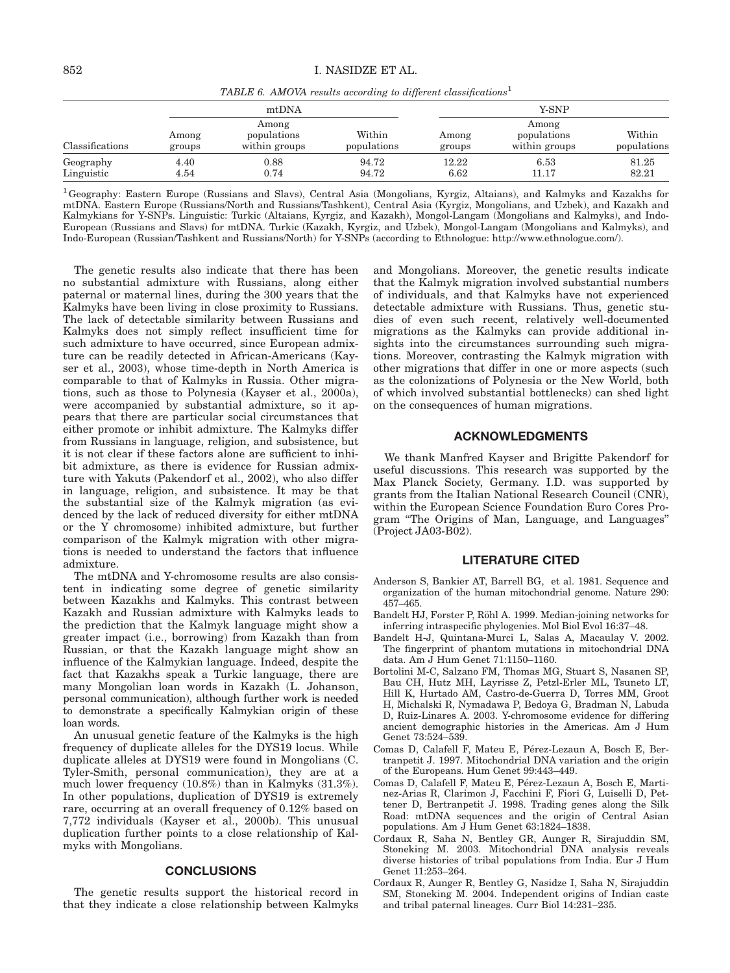TABLE 6. AMOVA results according to different classifications<sup>1</sup>

|                         |                 | mtDNA                                 |                       | Y-SNP           |                                       |                       |  |  |  |
|-------------------------|-----------------|---------------------------------------|-----------------------|-----------------|---------------------------------------|-----------------------|--|--|--|
| Classifications         | Among<br>groups | Among<br>populations<br>within groups | Within<br>populations | Among<br>groups | Among<br>populations<br>within groups | Within<br>populations |  |  |  |
| Geography<br>Linguistic | 4.40<br>4.54    | 0.88<br>0.74                          | 94.72<br>94.72        | 12.22<br>6.62   | 6.53<br>11.17                         | 81.25<br>82.21        |  |  |  |

<sup>1</sup> Geography: Eastern Europe (Russians and Slavs), Central Asia (Mongolians, Kyrgiz, Altaians), and Kalmyks and Kazakhs for mtDNA. Eastern Europe (Russians/North and Russians/Tashkent), Central Asia (Kyrgiz, Mongolians, and Uzbek), and Kazakh and Kalmykians for Y-SNPs. Linguistic: Turkic (Altaians, Kyrgiz, and Kazakh), Mongol-Langam (Mongolians and Kalmyks), and Indo-European (Russians and Slavs) for mtDNA. Turkic (Kazakh, Kyrgiz, and Uzbek), Mongol-Langam (Mongolians and Kalmyks), and Indo-European (Russian/Tashkent and Russians/North) for Y-SNPs (according to Ethnologue: http://www.ethnologue.com/).

The genetic results also indicate that there has been no substantial admixture with Russians, along either paternal or maternal lines, during the 300 years that the Kalmyks have been living in close proximity to Russians. The lack of detectable similarity between Russians and Kalmyks does not simply reflect insufficient time for such admixture to have occurred, since European admixture can be readily detected in African-Americans (Kayser et al., 2003), whose time-depth in North America is comparable to that of Kalmyks in Russia. Other migrations, such as those to Polynesia (Kayser et al., 2000a), were accompanied by substantial admixture, so it appears that there are particular social circumstances that either promote or inhibit admixture. The Kalmyks differ from Russians in language, religion, and subsistence, but it is not clear if these factors alone are sufficient to inhibit admixture, as there is evidence for Russian admixture with Yakuts (Pakendorf et al., 2002), who also differ in language, religion, and subsistence. It may be that the substantial size of the Kalmyk migration (as evidenced by the lack of reduced diversity for either mtDNA or the Y chromosome) inhibited admixture, but further comparison of the Kalmyk migration with other migrations is needed to understand the factors that influence admixture.

The mtDNA and Y-chromosome results are also consistent in indicating some degree of genetic similarity between Kazakhs and Kalmyks. This contrast between Kazakh and Russian admixture with Kalmyks leads to the prediction that the Kalmyk language might show a greater impact (i.e., borrowing) from Kazakh than from Russian, or that the Kazakh language might show an influence of the Kalmykian language. Indeed, despite the fact that Kazakhs speak a Turkic language, there are many Mongolian loan words in Kazakh (L. Johanson, personal communication), although further work is needed to demonstrate a specifically Kalmykian origin of these loan words.

An unusual genetic feature of the Kalmyks is the high frequency of duplicate alleles for the DYS19 locus. While duplicate alleles at DYS19 were found in Mongolians (C. Tyler-Smith, personal communication), they are at a much lower frequency (10.8%) than in Kalmyks (31.3%). In other populations, duplication of DYS19 is extremely rare, occurring at an overall frequency of 0.12% based on 7,772 individuals (Kayser et al., 2000b). This unusual duplication further points to a close relationship of Kalmyks with Mongolians.

# **CONCLUSIONS**

The genetic results support the historical record in that they indicate a close relationship between Kalmyks and Mongolians. Moreover, the genetic results indicate that the Kalmyk migration involved substantial numbers of individuals, and that Kalmyks have not experienced detectable admixture with Russians. Thus, genetic studies of even such recent, relatively well-documented migrations as the Kalmyks can provide additional insights into the circumstances surrounding such migrations. Moreover, contrasting the Kalmyk migration with other migrations that differ in one or more aspects (such as the colonizations of Polynesia or the New World, both of which involved substantial bottlenecks) can shed light on the consequences of human migrations.

# ACKNOWLEDGMENTS

We thank Manfred Kayser and Brigitte Pakendorf for useful discussions. This research was supported by the Max Planck Society, Germany. I.D. was supported by grants from the Italian National Research Council (CNR), within the European Science Foundation Euro Cores Program ''The Origins of Man, Language, and Languages'' (Project JA03-B02).

#### LITERATURE CITED

- Anderson S, Bankier AT, Barrell BG, et al. 1981. Sequence and organization of the human mitochondrial genome. Nature 290: 457–465.
- Bandelt HJ, Forster P, Röhl A. 1999. Median-joining networks for inferring intraspecific phylogenies. Mol Biol Evol 16:37–48.
- Bandelt H-J, Quintana-Murci L, Salas A, Macaulay V. 2002. The fingerprint of phantom mutations in mitochondrial DNA data. Am J Hum Genet 71:1150–1160.
- Bortolini M-C, Salzano FM, Thomas MG, Stuart S, Nasanen SP, Bau CH, Hutz MH, Layrisse Z, Petzl-Erler ML, Tsuneto LT, Hill K, Hurtado AM, Castro-de-Guerra D, Torres MM, Groot H, Michalski R, Nymadawa P, Bedoya G, Bradman N, Labuda D, Ruiz-Linares A. 2003. Y-chromosome evidence for differing ancient demographic histories in the Americas. Am J Hum Genet 73:524–539.
- Comas D, Calafell F, Mateu E, Pérez-Lezaun A, Bosch E, Bertranpetit J. 1997. Mitochondrial DNA variation and the origin of the Europeans. Hum Genet 99:443–449.
- Comas D, Calafell F, Mateu E, Pérez-Lezaun A, Bosch E, Martinez-Arias R, Clarimon J, Facchini F, Fiori G, Luiselli D, Pettener D, Bertranpetit J. 1998. Trading genes along the Silk Road: mtDNA sequences and the origin of Central Asian populations. Am J Hum Genet 63:1824–1838.
- Cordaux R, Saha N, Bentley GR, Aunger R, Sirajuddin SM, Stoneking M. 2003. Mitochondrial DNA analysis reveals diverse histories of tribal populations from India. Eur J Hum Genet 11:253–264.
- Cordaux R, Aunger R, Bentley G, Nasidze I, Saha N, Sirajuddin SM, Stoneking M. 2004. Independent origins of Indian caste and tribal paternal lineages. Curr Biol 14:231–235.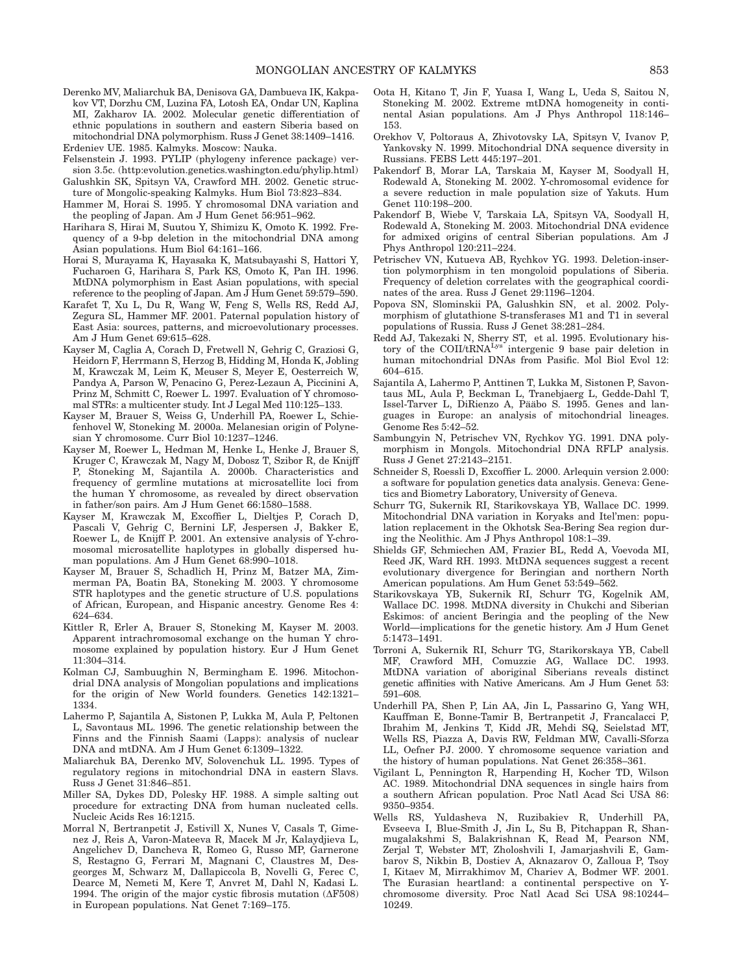Derenko MV, Maliarchuk BA, Denisova GA, Dambueva IK, Kakpakov VT, Dorzhu CM, Luzina FA, Lotosh EA, Ondar UN, Kaplina MI, Zakharov IA. 2002. Molecular genetic differentiation of ethnic populations in southern and eastern Siberia based on mitochondrial DNA polymorphism. Russ J Genet 38:1409–1416.

Erdeniev UE. 1985. Kalmyks. Moscow: Nauka.

- Felsenstein J. 1993. PYLIP (phylogeny inference package) version 3.5c. (http:evolution.genetics.washington.edu/phylip.html)
- Galushkin SK, Spitsyn VA, Crawford MH. 2002. Genetic structure of Mongolic-speaking Kalmyks. Hum Biol 73:823–834.
- Hammer M, Horai S. 1995. Y chromosomal DNA variation and the peopling of Japan. Am J Hum Genet 56:951–962.
- Harihara S, Hirai M, Suutou Y, Shimizu K, Omoto K. 1992. Frequency of a 9-bp deletion in the mitochondrial DNA among Asian populations. Hum Biol 64:161–166.
- Horai S, Murayama K, Hayasaka K, Matsubayashi S, Hattori Y, Fucharoen G, Harihara S, Park KS, Omoto K, Pan IH. 1996. MtDNA polymorphism in East Asian populations, with special reference to the peopling of Japan. Am J Hum Genet 59:579–590.
- Karafet T, Xu L, Du R, Wang W, Feng S, Wells RS, Redd AJ, Zegura SL, Hammer MF. 2001. Paternal population history of East Asia: sources, patterns, and microevolutionary processes. Am J Hum Genet 69:615–628.
- Kayser M, Caglia A, Corach D, Fretwell N, Gehrig C, Graziosi G, Heidorn F, Herrmann S, Herzog B, Hidding M, Honda K, Jobling M, Krawczak M, Leim K, Meuser S, Meyer E, Oesterreich W, Pandya A, Parson W, Penacino G, Perez-Lezaun A, Piccinini A, Prinz M, Schmitt C, Roewer L. 1997. Evaluation of Y chromosomal STRs: a multicenter study. Int J Legal Med 110:125–133.
- Kayser M, Brauer S, Weiss G, Underhill PA, Roewer L, Schiefenhovel W, Stoneking M. 2000a. Melanesian origin of Polynesian Y chromosome. Curr Biol 10:1237–1246.
- Kayser M, Roewer L, Hedman M, Henke L, Henke J, Brauer S, Kruger C, Krawczak M, Nagy M, Dobosz T, Szibor R, de Knijff P, Stoneking M, Sajantila A. 2000b. Characteristics and frequency of germline mutations at microsatellite loci from the human Y chromosome, as revealed by direct observation in father/son pairs. Am J Hum Genet 66:1580–1588.
- Kayser M, Krawczak M, Excoffier L, Dieltjes P, Corach D, Pascali V, Gehrig C, Bernini LF, Jespersen J, Bakker E, Roewer L, de Knijff P. 2001. An extensive analysis of Y-chromosomal microsatellite haplotypes in globally dispersed human populations. Am J Hum Genet 68:990–1018.
- Kayser M, Brauer S, Schadlich H, Prinz M, Batzer MA, Zimmerman PA, Boatin BA, Stoneking M. 2003. Y chromosome STR haplotypes and the genetic structure of U.S. populations of African, European, and Hispanic ancestry. Genome Res 4: 624–634.
- Kittler R, Erler A, Brauer S, Stoneking M, Kayser M. 2003. Apparent intrachromosomal exchange on the human Y chromosome explained by population history. Eur J Hum Genet 11:304–314.
- Kolman CJ, Sambuughin N, Bermingham E. 1996. Mitochondrial DNA analysis of Mongolian populations and implications for the origin of New World founders. Genetics 142:1321– 1334.
- Lahermo P, Sajantila A, Sistonen P, Lukka M, Aula P, Peltonen L, Savontaus ML. 1996. The genetic relationship between the Finns and the Finnish Saami (Lapps): analysis of nuclear DNA and mtDNA. Am J Hum Genet 6:1309–1322.
- Maliarchuk BA, Derenko MV, Solovenchuk LL. 1995. Types of regulatory regions in mitochondrial DNA in eastern Slavs. Russ J Genet 31:846–851.
- Miller SA, Dykes DD, Polesky HF. 1988. A simple salting out procedure for extracting DNA from human nucleated cells. Nucleic Acids Res 16:1215.
- Morral N, Bertranpetit J, Estivill X, Nunes V, Casals T, Gimenez J, Reis A, Varon-Mateeva R, Macek M Jr, Kalaydjieva L, Angelichev D, Dancheva R, Romeo G, Russo MP, Garnerone S, Restagno G, Ferrari M, Magnani C, Claustres M, Desgeorges M, Schwarz M, Dallapiccola B, Novelli G, Ferec C, Dearce M, Nemeti M, Kere T, Anvret M, Dahl N, Kadasi L. 1994. The origin of the major cystic fibrosis mutation  $(\Delta F508)$ in European populations. Nat Genet 7:169–175.
- Oota H, Kitano T, Jin F, Yuasa I, Wang L, Ueda S, Saitou N, Stoneking M. 2002. Extreme mtDNA homogeneity in continental Asian populations. Am J Phys Anthropol 118:146– 153.
- Orekhov V, Poltoraus A, Zhivotovsky LA, Spitsyn V, Ivanov P, Yankovsky N. 1999. Mitochondrial DNA sequence diversity in Russians. FEBS Lett 445:197–201.
- Pakendorf B, Morar LA, Tarskaia M, Kayser M, Soodyall H, Rodewald A, Stoneking M. 2002. Y-chromosomal evidence for a severe reduction in male population size of Yakuts. Hum Genet 110:198–200.
- Pakendorf B, Wiebe V, Tarskaia LA, Spitsyn VA, Soodyall H, Rodewald A, Stoneking M. 2003. Mitochondrial DNA evidence for admixed origins of central Siberian populations. Am J Phys Anthropol 120:211–224.
- Petrischev VN, Kutueva AB, Rychkov YG. 1993. Deletion-insertion polymorphism in ten mongoloid populations of Siberia. Frequency of deletion correlates with the geographical coordinates of the area. Russ J Genet 29:1196–1204.
- Popova SN, Slominskii PA, Galushkin SN, et al. 2002. Polymorphism of glutathione S-transferases M1 and T1 in several populations of Russia. Russ J Genet 38:281–284.
- Redd AJ, Takezaki N, Sherry ST, et al. 1995. Evolutionary history of the COII/tRNA<sup>Lys'</sup> intergenic 9 base pair deletion in human mitochondrial DNAs from Pasific. Mol Biol Evol 12: 604–615.
- Sajantila A, Lahermo P, Anttinen T, Lukka M, Sistonen P, Savontaus ML, Aula P, Beckman L, Tranebjaerg L, Gedde-Dahl T, Issel-Tarver L, DiRienzo A, Pääbo S. 1995. Genes and languages in Europe: an analysis of mitochondrial lineages. Genome Res 5:42–52.
- Sambungyin N, Petrischev VN, Rychkov YG. 1991. DNA polymorphism in Mongols. Mitochondrial DNA RFLP analysis. Russ J Genet 27:2143–2151.
- Schneider S, Roessli D, Excoffier L. 2000. Arlequin version 2.000: a software for population genetics data analysis. Geneva: Genetics and Biometry Laboratory, University of Geneva.
- Schurr TG, Sukernik RI, Starikovskaya YB, Wallace DC. 1999. Mitochondrial DNA variation in Koryaks and Itel'men: population replacement in the Okhotsk Sea-Bering Sea region during the Neolithic. Am J Phys Anthropol 108:1–39.
- Shields GF, Schmiechen AM, Frazier BL, Redd A, Voevoda MI, Reed JK, Ward RH. 1993. MtDNA sequences suggest a recent evolutionary divergence for Beringian and northern North American populations. Am Hum Genet 53:549–562.
- Starikovskaya YB, Sukernik RI, Schurr TG, Kogelnik AM, Wallace DC. 1998. MtDNA diversity in Chukchi and Siberian Eskimos: of ancient Beringia and the peopling of the New World—implications for the genetic history. Am J Hum Genet 5:1473–1491.
- Torroni A, Sukernik RI, Schurr TG, Starikorskaya YB, Cabell MF, Crawford MH, Comuzzie AG, Wallace DC. 1993. MtDNA variation of aboriginal Siberians reveals distinct genetic affinities with Native Americans. Am J Hum Genet 53: 591–608.
- Underhill PA, Shen P, Lin AA, Jin L, Passarino G, Yang WH, Kauffman E, Bonne-Tamir B, Bertranpetit J, Francalacci P, Ibrahim M, Jenkins T, Kidd JR, Mehdi SQ, Seielstad MT, Wells RS, Piazza A, Davis RW, Feldman MW, Cavalli-Sforza LL, Oefner PJ. 2000. Y chromosome sequence variation and the history of human populations. Nat Genet 26:358–361.
- Vigilant L, Pennington R, Harpending H, Kocher TD, Wilson AC. 1989. Mitochondrial DNA sequences in single hairs from a southern African population. Proc Natl Acad Sci USA 86: 9350–9354.
- Wells RS, Yuldasheva N, Ruzibakiev R, Underhill PA, Evseeva I, Blue-Smith J, Jin L, Su B, Pitchappan R, Shanmugalakshmi S, Balakrishnan K, Read M, Pearson NM, Zerjal T, Webster MT, Zholoshvili I, Jamarjashvili E, Gambarov S, Nikbin B, Dostiev A, Aknazarov O, Zalloua P, Tsoy I, Kitaev M, Mirrakhimov M, Chariev A, Bodmer WF. 2001. The Eurasian heartland: a continental perspective on Ychromosome diversity. Proc Natl Acad Sci USA 98:10244– 10249.